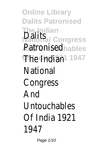**Online Library Dalits Patronised The Indian Dalits**<br>**National Congress Ratronised** ables The Indian<sup>1</sup> 1947 **National Congress** And Untouchables Of India 1921 1947

Page 1/10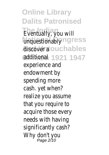**Online Library Dalits Patronised** Eventually, you will unquestionablyngress discover aouchables **Of India 1921 1947** additional experience and endowment by spending more cash. yet when? realize you assume that you require to acquire those every needs with having significantly cash? Why don't you Page 2/10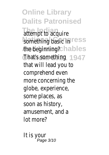**Online Library Dalits Patronised** attempt to acquire something basic in ess the beginning? hables **Of India 1921 1947** That's something that will lead you to comprehend even more concerning the globe, experience, some places, as soon as history, amusement, and a lot more?

It is your Page 3/10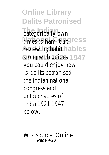**Online Library Dalits Patronised** categorically own times to ham **it up ess** reviewing habit.hables along with guides 947 you could enjoy now is dalits patronised the indian national congress and untouchables of india 1921 1947 below.

Wikisource: Online Page 4/10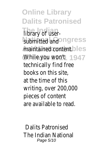**Online Library Dalits Patronised** library of usersubmitted and ngress maintained content.les While you won't 1947 technically find free books on this site, at the time of this writing, over 200,000 pieces of content are available to read.

Dalits Patronised The Indian National Page 5/10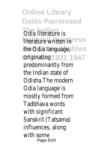**Online Library Dalits Patronised** *<u>Odia</u>* literature is literature written in<sup>ss</sup> the Odia language, bles **Of India 1921 1947** originating predominantly from the Indian state of Odisha.The modern Odia language is mostly formed from Tadbhava words with significant Sanskrit (Tatsama) influences, along with some Page 6/10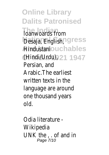**Online Library Dalits Patronised The Indiana** Desaja, English, ngress Aindustaniouchables **Of India 1921 1947** (Hindi/Urdu), Persian, and Arabic.The earliest written texts in the language are around one thousand years old.

Odia literature - Wikipedia UNK the , . of and in Page 7/10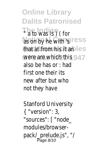**Online Library Dalits Patronised The Indian** " a to was is ) ( for as on by he with 'sess that at from his it an<sup>s</sup> were are which this 47 also be has or : had first one their its new after but who not they have

Stanford University { "version": 3, "sources": [ "node\_ modules/browserpack/\_prelude.js", "/ Page 8/10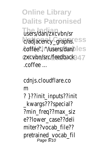**Online Library Dalits Patronised** users/dan/zxcvbn/sr c/adjacency\_graphs.<sup>ss</sup> coffee", rt/users/dan/es zxcvbn/src/feedback47 .coffee ...

cdnjs.cloudflare.co m ? }??init\_inputs??init \_kwargs???special? ?min\_freq??max\_siz e??lower\_case??deli miter??vocab\_file?? pretrained\_vocab\_fil Page 9/10